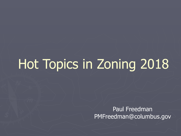# Hot Topics in Zoning 2018

Paul Freedman PMFreedman@columbus.gov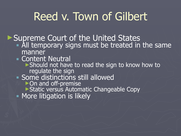## Reed v. Town of Gilbert

► Supreme Court of the United States

- **All temporary signs must be treated in the same** manner
- **E** Content Neutral
	- ► Should not have to read the sign to know how to regulate the sign
- **Example distinctions still allowed** 
	- ►On and off-premise
	- ►Static versus Automatic Changeable Copy
- **More litigation is likely**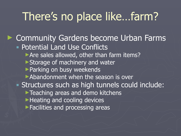### There's no place like…farm?

► Community Gardens become Urban Farms **Potential Land Use Conflicts** ▶ Are sales allowed, other than farm items? ► Storage of machinery and water ►Parking on busy weekends ►Abandonment when the season is over **Example 1 Structures such as high tunnels could include:** ▶Teaching areas and demo kitchens ►Heating and cooling devices ▶Facilities and processing areas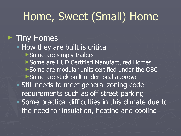### Home, Sweet (Small) Home

#### ► Tiny Homes

#### **- How they are built is critical**

- ► Some are simply trailers
- ►Some are HUD Certified Manufactured Homes
- ►Some are modular units certified under the OBC
- ► Some are stick built under local approval
- **Example 1 Still needs to meet general zoning code**
- requirements such as off street parking ▪ Some practical difficulties in this climate due to
	- the need for insulation, heating and cooling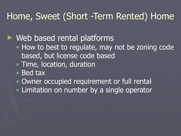### Home, Sweet (Short -Term Rented) Home

► Web based rental platforms

- **. How to best to regulate, may not be zoning code** based, but license code based
- **Time, location, duration**
- Bed tax
- **Owner occupied requirement or full rental**
- **EXTE:** Limitation on number by a single operator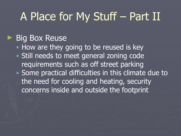## A Place for My Stuff – Part II

#### **Big Box Reuse**

**• How are they going to be reused is key Extill needs to meet general zoning code** requirements such as off street parking ▪ Some practical difficulties in this climate due to the need for cooling and heating, security concerns inside and outside the footprint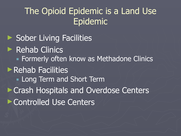### The Opioid Epidemic is a Land Use Epidemic

► Sober Living Facilities ► Rehab Clinics **EXECUTE: 19 Formerly often know as Methadone Clinics** ►Rehab Facilities **Easternamed Short Term** ►Crash Hospitals and Overdose Centers ►Controlled Use Centers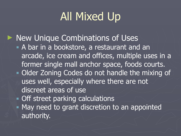## All Mixed Up

► New Unique Combinations of Uses **A** bar in a bookstore, a restaurant and an arcade, ice cream and offices, multiple uses in a former single mall anchor space, foods courts. **• Older Zoning Codes do not handle the mixing of** uses well, especially where there are not discreet areas of use **• Off street parking calculations • May need to grant discretion to an appointed** authority.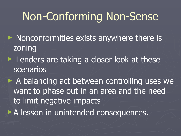### Non-Conforming Non-Sense

- ► Nonconformities exists anywhere there is zoning
- ► Lenders are taking a closer look at these scenarios
- ► A balancing act between controlling uses we want to phase out in an area and the need to limit negative impacts
- ▶ A lesson in unintended consequences.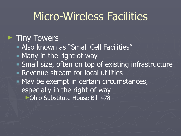### Micro-Wireless Facilities

#### ► Tiny Towers

- **E** Also known as "Small Cell Facilities"
- **E** Many in the right-of-way
- **Banally size, often on top of existing infrastructure**
- **Revenue stream for local utilities**
- May be exempt in certain circumstances, especially in the right-of-way ►Ohio Substitute House Bill 478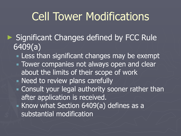### Cell Tower Modifications

- ► Significant Changes defined by FCC Rule 6409(a)
	- **Example 1 Less than significant changes may be exempt**
	- **Tower companies not always open and clear** about the limits of their scope of work **Example 1** Need to review plans carefully
	- **Example 20 Feral Strate is a Consult your legal authority sooner rather than** after application is received.
	- Know what Section 6409(a) defines as a substantial modification